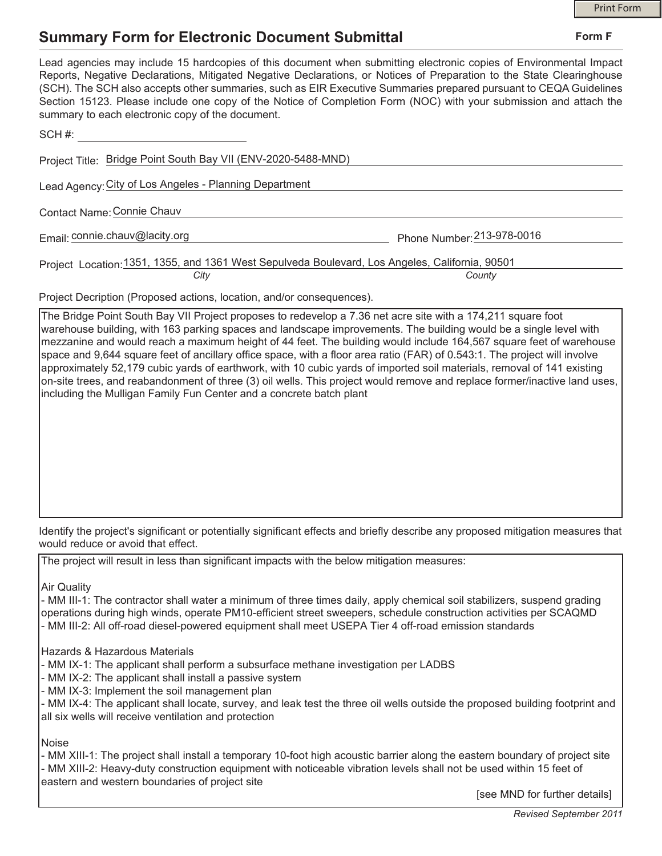**Form F**

## **Summary Form for Electronic Document Submittal**

| Lead agencies may include 15 hardcopies of this document when submitting electronic copies of Environmental Impact<br>Reports, Negative Declarations, Mitigated Negative Declarations, or Notices of Preparation to the State Clearinghouse<br>(SCH). The SCH also accepts other summaries, such as EIR Executive Summaries prepared pursuant to CEQA Guidelines<br>Section 15123. Please include one copy of the Notice of Completion Form (NOC) with your submission and attach the<br>summary to each electronic copy of the document. |                            |
|-------------------------------------------------------------------------------------------------------------------------------------------------------------------------------------------------------------------------------------------------------------------------------------------------------------------------------------------------------------------------------------------------------------------------------------------------------------------------------------------------------------------------------------------|----------------------------|
| SCH #:                                                                                                                                                                                                                                                                                                                                                                                                                                                                                                                                    |                            |
| Project Title: Bridge Point South Bay VII (ENV-2020-5488-MND)                                                                                                                                                                                                                                                                                                                                                                                                                                                                             |                            |
| Lead Agency: City of Los Angeles - Planning Department                                                                                                                                                                                                                                                                                                                                                                                                                                                                                    |                            |
| Contact Name: Connie Chauv                                                                                                                                                                                                                                                                                                                                                                                                                                                                                                                |                            |
| Email: connie.chauv@lacity.org                                                                                                                                                                                                                                                                                                                                                                                                                                                                                                            | Phone Number: 213-978-0016 |
| Project Location: 1351, 1355, and 1361 West Sepulveda Boulevard, Los Angeles, California, 90501                                                                                                                                                                                                                                                                                                                                                                                                                                           |                            |
| City                                                                                                                                                                                                                                                                                                                                                                                                                                                                                                                                      | County                     |

Project Decription (Proposed actions, location, and/or consequences).

The Bridge Point South Bay VII Project proposes to redevelop a 7.36 net acre site with a 174,211 square foot warehouse building, with 163 parking spaces and landscape improvements. The building would be a single level with mezzanine and would reach a maximum height of 44 feet. The building would include 164,567 square feet of warehouse space and 9,644 square feet of ancillary office space, with a floor area ratio (FAR) of 0.543:1. The project will involve approximately 52,179 cubic yards of earthwork, with 10 cubic yards of imported soil materials, removal of 141 existing on-site trees, and reabandonment of three (3) oil wells. This project would remove and replace former/inactive land uses, including the Mulligan Family Fun Center and a concrete batch plant

Identify the project's significant or potentially significant effects and briefly describe any proposed mitigation measures that would reduce or avoid that effect.

The project will result in less than significant impacts with the below mitigation measures:

Air Quality

- MM III-1: The contractor shall water a minimum of three times daily, apply chemical soil stabilizers, suspend grading operations during high winds, operate PM10-efficient street sweepers, schedule construction activities per SCAQMD - MM III-2: All off-road diesel-powered equipment shall meet USEPA Tier 4 off-road emission standards

Hazards & Hazardous Materials

- MM IX-1: The applicant shall perform a subsurface methane investigation per LADBS

- MM IX-2: The applicant shall install a passive system

- MM IX-3: Implement the soil management plan

- MM IX-4: The applicant shall locate, survey, and leak test the three oil wells outside the proposed building footprint and all six wells will receive ventilation and protection

Noise

- MM XIII-1: The project shall install a temporary 10-foot high acoustic barrier along the eastern boundary of project site - MM XIII-2: Heavy-duty construction equipment with noticeable vibration levels shall not be used within 15 feet of eastern and western boundaries of project site

[see MND for further details]